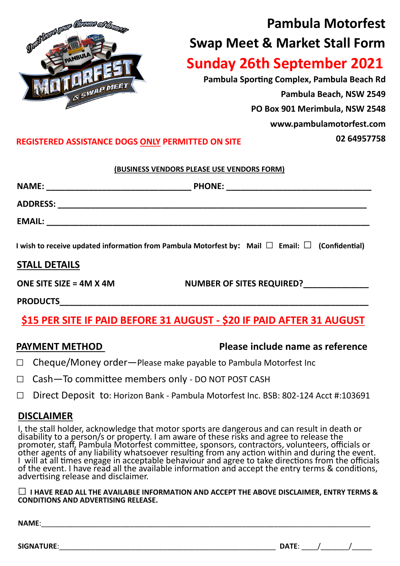

# **Pambula Motorfest Swap Meet & Market Stall Form Sunday 26th September 2021**

**Pambula Sporting Complex, Pambula Beach Rd Pambula Beach, NSW 2549 PO Box 901 Merimbula, NSW 2548 www.pambulamotorfest.com 02 64957758**

### **REGISTERED ASSISTANCE DOGS ONLY PERMITTED ON SITE**

### **(BUSINESS VENDORS PLEASE USE VENDORS FORM)**

|                           | I wish to receive updated information from Pambula Motorfest by: Mail $\Box$ Email: $\Box$ (Confidential) |  |
|---------------------------|-----------------------------------------------------------------------------------------------------------|--|
| <b>STALL DETAILS</b>      |                                                                                                           |  |
| ONE SITE SIZE = $4M X 4M$ | NUMBER OF SITES REQUIRED?                                                                                 |  |

**PRODUCTS\_\_\_\_\_\_\_\_\_\_\_\_\_\_\_\_\_\_\_\_\_\_\_\_\_\_\_\_\_\_\_\_\_\_\_\_\_\_\_\_\_\_\_\_\_\_\_\_\_\_\_\_\_\_\_\_\_\_\_\_\_\_\_\_\_\_**

## **\$15 PER SITE IF PAID BEFORE 31 AUGUST - \$20 IF PAID AFTER 31 AUGUST**

### **PAYMENT METHOD** Please include name as reference

- **□** Cheque/Money order—Please make payable to Pambula Motorfest Inc
- $\Box$  Cash-To committee members only DO NOT POST CASH
- □ Direct Deposit to: Horizon Bank Pambula Motorfest Inc. BSB: 802-124 Acct #:103691

### **DISCLAIMER**

I, the stall holder, acknowledge that motor sports are dangerous and can result in death or disability to a person/s or property. I am aware of these risks and agree to release the promoter, staff, Pambula Motorfest committee, sponsors, contractors, volunteers, officials or other agents of any liability whatsoever resulting from any action within and during the event. I will at all times engage in acceptable behaviour and agree to take directions from the officials of the event. I have read all the available information and accept the entry terms & conditions, advertising release and disclaimer.

□ **I HAVE READ ALL THE AVAILABLE INFORMATION AND ACCEPT THE ABOVE DISCLAIMER, ENTRY TERMS & CONDITIONS AND ADVERTISING RELEASE.**

**NAME**:\_\_\_\_\_\_\_\_\_\_\_\_\_\_\_\_\_\_\_\_\_\_\_\_\_\_\_\_\_\_\_\_\_\_\_\_\_\_\_\_\_\_\_\_\_\_\_\_\_\_\_\_\_\_\_\_\_\_\_\_\_\_\_\_\_\_\_\_\_\_\_\_\_\_\_\_\_\_\_\_\_\_

**SIGNATURE**:\_\_\_\_\_\_\_\_\_\_\_\_\_\_\_\_\_\_\_\_\_\_\_\_\_\_\_\_\_\_\_\_\_\_\_\_\_\_\_\_\_\_\_\_\_\_\_\_\_\_\_\_\_\_ **DATE**: \_\_\_\_/\_\_\_\_\_\_\_/\_\_\_\_\_